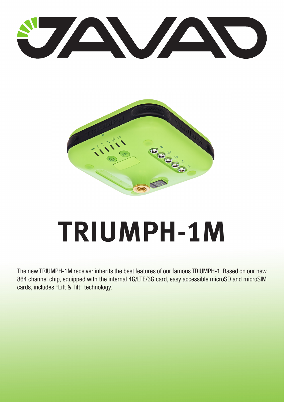



# **TRIUMPH-1M**

The new TRIUMPH-1M receiver inherits the best features of our famous TRIUMPH-1. Based on our new 864 channel chip, equipped with the internal 4G/LTE/3G card, easy accessible microSD and microSIM cards, includes "Lift & Tilt" technology.